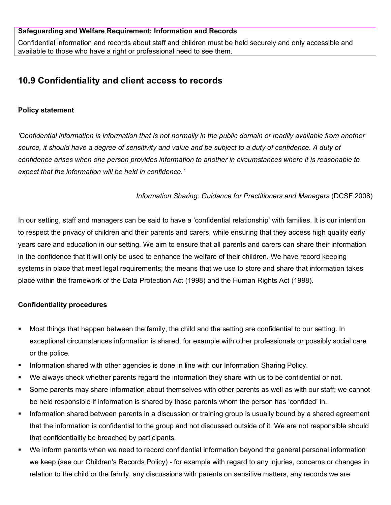#### **Safeguarding and Welfare Requirement: Information and Records**

Confidential information and records about staff and children must be held securely and only accessible and available to those who have a right or professional need to see them.

# **10.9 Confidentiality and client access to records**

## **Policy statement**

*'Confidential information is information that is not normally in the public domain or readily available from another*  source, it should have a degree of sensitivity and value and be subject to a duty of confidence. A duty of *confidence arises when one person provides information to another in circumstances where it is reasonable to expect that the information will be held in confidence.'*

## *Information Sharing: Guidance for Practitioners and Managers* (DCSF 2008)

In our setting, staff and managers can be said to have a 'confidential relationship' with families. It is our intention to respect the privacy of children and their parents and carers, while ensuring that they access high quality early years care and education in our setting. We aim to ensure that all parents and carers can share their information in the confidence that it will only be used to enhance the welfare of their children. We have record keeping systems in place that meet legal requirements; the means that we use to store and share that information takes place within the framework of the Data Protection Act (1998) and the Human Rights Act (1998).

# **Confidentiality procedures**

- Most things that happen between the family, the child and the setting are confidential to our setting. In exceptional circumstances information is shared, for example with other professionals or possibly social care or the police.
- Information shared with other agencies is done in line with our Information Sharing Policy.
- We always check whether parents regard the information they share with us to be confidential or not.
- Some parents may share information about themselves with other parents as well as with our staff; we cannot be held responsible if information is shared by those parents whom the person has 'confided' in.
- **Information shared between parents in a discussion or training group is usually bound by a shared agreement** that the information is confidential to the group and not discussed outside of it. We are not responsible should that confidentiality be breached by participants.
- We inform parents when we need to record confidential information beyond the general personal information we keep (see our Children's Records Policy) - for example with regard to any injuries, concerns or changes in relation to the child or the family, any discussions with parents on sensitive matters, any records we are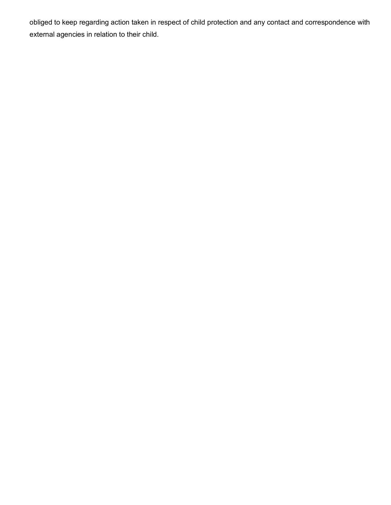obliged to keep regarding action taken in respect of child protection and any contact and correspondence with external agencies in relation to their child.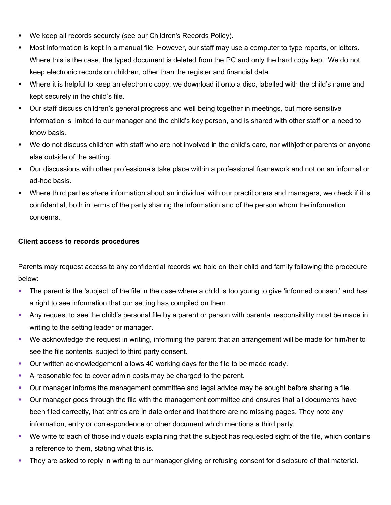- We keep all records securely (see our Children's Records Policy).
- Most information is kept in a manual file. However, our staff may use a computer to type reports, or letters. Where this is the case, the typed document is deleted from the PC and only the hard copy kept. We do not keep electronic records on children, other than the register and financial data.
- Where it is helpful to keep an electronic copy, we download it onto a disc, labelled with the child's name and kept securely in the child's file.
- Our staff discuss children's general progress and well being together in meetings, but more sensitive information is limited to our manager and the child's key person, and is shared with other staff on a need to know basis.
- We do not discuss children with staff who are not involved in the child's care, nor with]other parents or anyone else outside of the setting.
- Our discussions with other professionals take place within a professional framework and not on an informal or ad-hoc basis.
- Where third parties share information about an individual with our practitioners and managers, we check if it is confidential, both in terms of the party sharing the information and of the person whom the information concerns.

# **Client access to records procedures**

Parents may request access to any confidential records we hold on their child and family following the procedure below:

- The parent is the 'subject' of the file in the case where a child is too young to give 'informed consent' and has a right to see information that our setting has compiled on them.
- Any request to see the child's personal file by a parent or person with parental responsibility must be made in writing to the setting leader or manager.
- We acknowledge the request in writing, informing the parent that an arrangement will be made for him/her to see the file contents, subject to third party consent.
- Our written acknowledgement allows 40 working days for the file to be made ready.
- A reasonable fee to cover admin costs may be charged to the parent.
- Our manager informs the management committee and legal advice may be sought before sharing a file.
- **Dur manager goes through the file with the management committee and ensures that all documents have** been filed correctly, that entries are in date order and that there are no missing pages. They note any information, entry or correspondence or other document which mentions a third party.
- We write to each of those individuals explaining that the subject has requested sight of the file, which contains a reference to them, stating what this is.
- They are asked to reply in writing to our manager giving or refusing consent for disclosure of that material.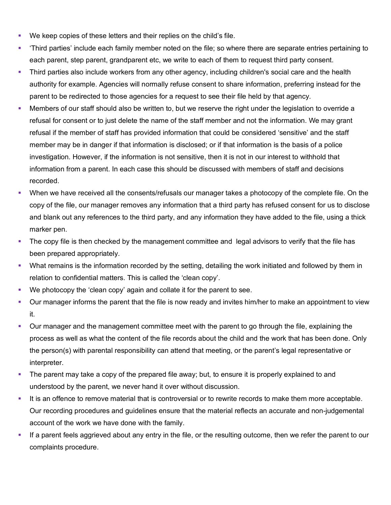- We keep copies of these letters and their replies on the child's file.
- 'Third parties' include each family member noted on the file; so where there are separate entries pertaining to each parent, step parent, grandparent etc, we write to each of them to request third party consent.
- Third parties also include workers from any other agency, including children's social care and the health authority for example. Agencies will normally refuse consent to share information, preferring instead for the parent to be redirected to those agencies for a request to see their file held by that agency.
- Members of our staff should also be written to, but we reserve the right under the legislation to override a refusal for consent or to just delete the name of the staff member and not the information. We may grant refusal if the member of staff has provided information that could be considered 'sensitive' and the staff member may be in danger if that information is disclosed; or if that information is the basis of a police investigation. However, if the information is not sensitive, then it is not in our interest to withhold that information from a parent. In each case this should be discussed with members of staff and decisions recorded.
- When we have received all the consents/refusals our manager takes a photocopy of the complete file. On the copy of the file, our manager removes any information that a third party has refused consent for us to disclose and blank out any references to the third party, and any information they have added to the file, using a thick marker pen.
- The copy file is then checked by the management committee and legal advisors to verify that the file has been prepared appropriately.
- What remains is the information recorded by the setting, detailing the work initiated and followed by them in relation to confidential matters. This is called the 'clean copy'.
- We photocopy the 'clean copy' again and collate it for the parent to see.
- Our manager informs the parent that the file is now ready and invites him/her to make an appointment to view it.
- **Dur manager and the management committee meet with the parent to go through the file, explaining the** process as well as what the content of the file records about the child and the work that has been done. Only the person(s) with parental responsibility can attend that meeting, or the parent's legal representative or interpreter.
- The parent may take a copy of the prepared file away; but, to ensure it is properly explained to and understood by the parent, we never hand it over without discussion.
- It is an offence to remove material that is controversial or to rewrite records to make them more acceptable. Our recording procedures and guidelines ensure that the material reflects an accurate and non-judgemental account of the work we have done with the family.
- If a parent feels aggrieved about any entry in the file, or the resulting outcome, then we refer the parent to our complaints procedure.